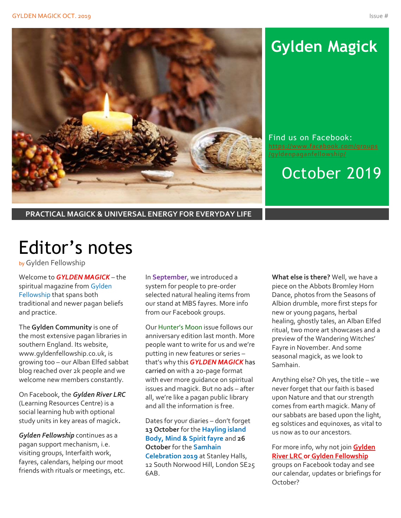

# **Gylden Magick**

Find us on Facebook: [https://www.facebook.com/groups](https://www.facebook.com/groups/gyldenpaganfellowship/)

October 2019

**PRACTICAL MAGICK & UNIVERSAL ENERGY FOR EVERYDAY LIFE**

# Editor's notes

by Gylden Fellowship

Welcome to *GYLDEN MAGICK* – the spiritual magazine from Gylden Fellowship that spans both traditional and newer pagan beliefs and practice.

The **Gylden Community** is one of the most extensive pagan libraries in southern England. Its website, www.gyldenfellowship.co.uk, is growing too – our Alban Elfed sabbat blog reached over 2k people and we welcome new members constantly.

On Facebook, the *Gylden River LRC* (Learning Resources Centre) is a social learning hub with optional study units in key areas of magick*.*

*Gylden Fellowship* continues as a pagan support mechanism, i.e. visiting groups, Interfaith work, fayres, calendars, helping our moot friends with rituals or meetings, etc. In **September**, we introduced a system for people to pre-order selected natural healing items from our stand at MBS fayres. More info from our Facebook groups.

Our Hunter's Moon issue follows our anniversary edition last month. More people want to write for us and we're putting in new features or series – that's why this *GYLDEN MAGICK* has carried on with a 20-page format with ever more guidance on spiritual issues and magick. But no ads – after all, we're like a pagan public library and all the information is free.

Dates for your diaries – don't forget **13 October** for the **Hayling island Body, Mind & Spirit fayre** and **26 October** for the **Samhain Celebration 2019** at Stanley Halls, 12 South Norwood Hill, London SE25 6AB.

**What else is there?** Well, we have a piece on the Abbots Bromley Horn Dance, photos from the Seasons of Albion drumble, more first steps for new or young pagans, herbal healing, ghostly tales, an Alban Elfed ritual, two more art showcases and a preview of the Wandering Witches' Fayre in November. And some seasonal magick, as we look to Samhain.

Anything else? Oh yes, the title – we never forget that our faith is based upon Nature and that our strength comes from earth magick. Many of our sabbats are based upon the light, eg solstices and equinoxes, as vital to us now as to our ancestors.

For more info, why not join **Gylden River LRC or Gylden Fellowship** groups on Facebook today and see our calendar, updates or briefings for October?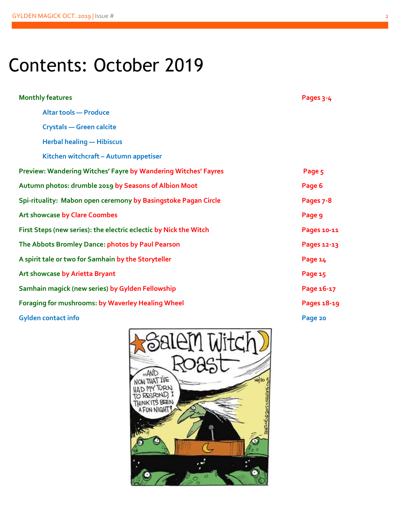# Contents: October 2019

| <b>Monthly features</b>                                           | Pages 3-4   |
|-------------------------------------------------------------------|-------------|
| <b>Altar tools - Produce</b>                                      |             |
| <b>Crystals - Green calcite</b>                                   |             |
| <b>Herbal healing - Hibiscus</b>                                  |             |
| Kitchen witchcraft - Autumn appetiser                             |             |
| Preview: Wandering Witches' Fayre by Wandering Witches' Fayres    | Page 5      |
| Autumn photos: drumble 2019 by Seasons of Albion Moot             | Page 6      |
| Spi-rituality: Mabon open ceremony by Basingstoke Pagan Circle    | Pages 7-8   |
| <b>Art showcase by Clare Coombes</b>                              | Page 9      |
| First Steps (new series): the electric eclectic by Nick the Witch | Pages 10-11 |
| The Abbots Bromley Dance: photos by Paul Pearson                  | Pages 12-13 |
| A spirit tale or two for Samhain by the Storyteller               | Page 14     |
| Art showcase by Arietta Bryant                                    | Page 15     |
| Samhain magick (new series) by Gylden Fellowship                  | Page 16-17  |
| Foraging for mushrooms: by Waverley Healing Wheel                 | Pages 18-19 |
| <b>Gylden contact info</b>                                        | Page 20     |

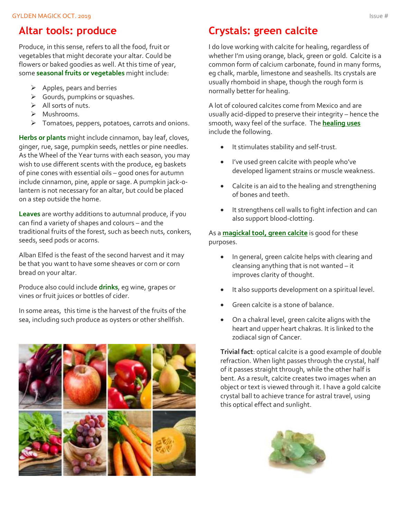### **Altar tools: produce**

Produce, in this sense, refers to all the food, fruit or vegetables that might decorate your altar. Could be flowers or baked goodies as well. At this time of year, some **seasonal fruits or vegetables** might include:

- $\triangleright$  Apples, pears and berries
- ➢ Gourds, pumpkins or squashes.
- $\triangleright$  All sorts of nuts.
- ➢ Mushrooms.
- ➢ Tomatoes, peppers, potatoes, carrots and onions.

**Herbs or plants** might include cinnamon, bay leaf, cloves, ginger, rue, sage, pumpkin seeds, nettles or pine needles. As the Wheel of the Year turns with each season, you may wish to use different scents with the produce, eg baskets of pine cones with essential oils – good ones for autumn include cinnamon, pine, apple or sage. A pumpkin jack-olantern is not necessary for an altar, but could be placed on a step outside the home.

**Leaves** are worthy additions to autumnal produce, if you can find a variety of shapes and colours – and the traditional fruits of the forest, such as beech nuts, conkers, seeds, seed pods or acorns.

Alban Elfed is the feast of the second harvest and it may be that you want to have some sheaves or corn or corn bread on your altar.

Produce also could include **drinks**, eg wine, grapes or vines or fruit juices or bottles of cider.

In some areas, this time is the harvest of the fruits of the sea, including such produce as oysters or other shellfish.



## **Crystals: green calcite**

I do love working with calcite for healing, regardless of whether I'm using orange, black, green or gold. Calcite is a common form of calcium carbonate, found in many forms, eg chalk, marble, limestone and seashells. Its crystals are usually rhomboid in shape, though the rough form is normally better for healing.

A lot of coloured calcites come from Mexico and are usually acid-dipped to preserve their integrity – hence the smooth, waxy feel of the surface. The **healing uses** include the following.

- It stimulates stability and self-trust.
- I've used green calcite with people who've developed ligament strains or muscle weakness.
- Calcite is an aid to the healing and strengthening of bones and teeth.
- It strengthens cell walls to fight infection and can also support blood-clotting.

As a **magickal tool, green calcite** is good for these purposes.

- In general, green calcite helps with clearing and cleansing anything that is not wanted – it improves clarity of thought.
- It also supports development on a spiritual level.
- Green calcite is a stone of balance.
- On a chakral level, green calcite aligns with the heart and upper heart chakras. It is linked to the zodiacal sign of Cancer.

**Trivial fact**: optical calcite is a good example of double refraction. When light passes through the crystal, half of it passes straight through, while the other half is bent. As a result, calcite creates two images when an object or text is viewed through it. I have a gold calcite crystal ball to achieve trance for astral travel, using this optical effect and sunlight.

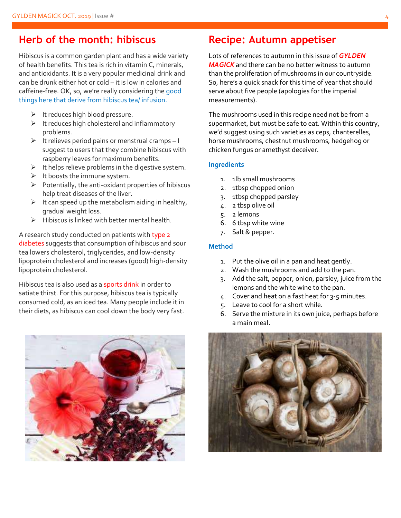### **Herb of the month: hibiscus**

Hibiscus is a common garden plant and has a wide variety of health benefits. This tea is rich in vitamin C, minerals, and antioxidants. It is a very popular medicinal drink and can be drunk either hot or cold – it is low in calories and caffeine-free. OK, so, we're really considering the good things here that derive from hibiscus tea/ infusion.

- $\triangleright$  It reduces high blood pressure.
- $\triangleright$  It reduces high cholesterol and inflammatory problems.
- $\triangleright$  It relieves period pains or menstrual cramps I suggest to users that they combine hibiscus with raspberry leaves for maximum benefits.
- $\triangleright$  It helps relieve problems in the digestive system.
- $\triangleright$  It boosts the immune system.
- $\triangleright$  Potentially, the anti-oxidant properties of hibiscus help treat diseases of the liver.
- $\triangleright$  It can speed up the metabolism aiding in healthy, gradual weight loss.
- $\triangleright$  Hibiscus is linked with better mental health.

A research study conducted on patients with type 2 diabetes suggests that consumption of hibiscus and sour tea lowers cholesterol, triglycerides, and low-density lipoprotein cholesterol and increases (good) high-density lipoprotein cholesterol.

Hibiscus tea is also used as a sports drink in order to satiate thirst. For this purpose, hibiscus tea is typically consumed cold, as an iced tea. Many people include it in their diets, as hibiscus can cool down the body very fast.



### **Recipe: Autumn appetiser**

Lots of references to autumn in this issue of *GYLDEN MAGICK* and there can be no better witness to autumn than the proliferation of mushrooms in our countryside. So, here's a quick snack for this time of year that should serve about five people (apologies for the imperial measurements).

The mushrooms used in this recipe need not be from a supermarket, but must be safe to eat. Within this country, we'd suggest using such varieties as ceps, chanterelles, horse mushrooms, chestnut mushrooms, hedgehog or chicken fungus or amethyst deceiver.

#### **Ingredients**

- 1. 1lb small mushrooms
- 2. 1tbsp chopped onion
- 3. 1tbsp chopped parsley
- 4. 2 tbsp olive oil
- 5. 2 lemons
- 6. 6 tbsp white wine
- 7. Salt & pepper.

#### **Method**

- 1. Put the olive oil in a pan and heat gently.
- 2. Wash the mushrooms and add to the pan.
- 3. Add the salt, pepper, onion, parsley, juice from the lemons and the white wine to the pan.
- 4. Cover and heat on a fast heat for 3-5 minutes.
- 5. Leave to cool for a short while.
- 6. Serve the mixture in its own juice, perhaps before a main meal.

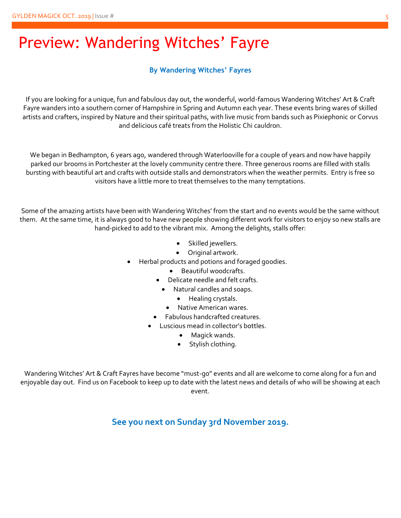## Preview: Wandering Witches' Fayre

#### **By Wandering Witches' Fayres**

If you are looking for a unique, fun and fabulous day out, the wonderful, world-famous Wandering Witches' Art & Craft Fayre wanders into a southern corner of Hampshire in Spring and Autumn each year. These events bring wares of skilled artists and crafters, inspired by Nature and their spiritual paths, with live music from bands such as Pixiephonic or Corvus and delicious café treats from the Holistic Chi cauldron.

We began in Bedhampton, 6 years ago, wandered through Waterlooville for a couple of years and now have happily parked our brooms in Portchester at the lovely community centre there. Three generous rooms are filled with stalls bursting with beautiful art and crafts with outside stalls and demonstrators when the weather permits. Entry is free so visitors have a little more to treat themselves to the many temptations.

Some of the amazing artists have been with Wandering Witches' from the start and no events would be the same without them. At the same time, it is always good to have new people showing different work for visitors to enjoy so new stalls are hand-picked to add to the vibrant mix. Among the delights, stalls offer:

- Skilled jewellers.
- Original artwork.
- Herbal products and potions and foraged goodies.
	- Beautiful woodcrafts.
	- Delicate needle and felt crafts.
		- Natural candles and soaps.
			- Healing crystals.
		- Native American wares.
	- Fabulous handcrafted creatures.
	- Luscious mead in collector's bottles.
		- Magick wands.
		- Stylish clothing.

Wandering Witches' Art & Craft Fayres have become "must-go" events and all are welcome to come along for a fun and enjoyable day out. Find us on Facebook to keep up to date with the latest news and details of who will be showing at each event.

**See you next on Sunday 3rd November 2019.**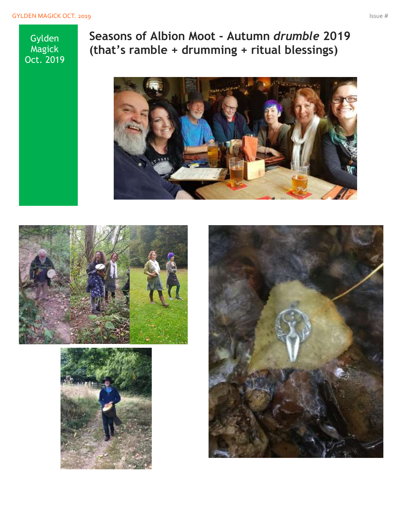Gylden **Magick** Oct. 2019 **Seasons of Albion Moot - Autumn** *drumble* **2019 (that's ramble + drumming + ritual blessings)**







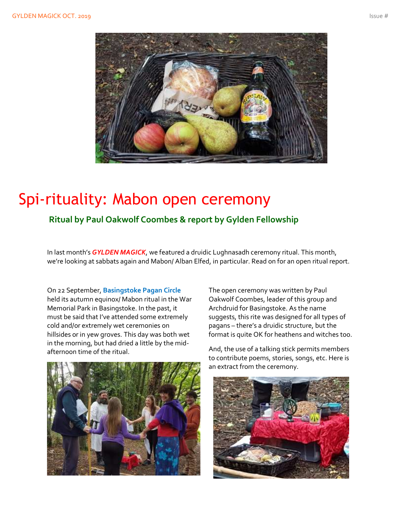

## Spi-rituality: Mabon open ceremony

**Ritual by Paul Oakwolf Coombes & report by Gylden Fellowship**

In last month's *GYLDEN MAGICK*, we featured a druidic Lughnasadh ceremony ritual. This month, we're looking at sabbats again and Mabon/ Alban Elfed, in particular. Read on for an open ritual report.

On 22 September, **Basingstoke Pagan Circle** held its autumn equinox/ Mabon ritual in the War Memorial Park in Basingstoke. In the past, it must be said that I've attended some extremely cold and/or extremely wet ceremonies on hillsides or in yew groves. This day was both wet in the morning, but had dried a little by the midafternoon time of the ritual.



The open ceremony was written by Paul Oakwolf Coombes, leader of this group and Archdruid for Basingstoke. As the name suggests, this rite was designed for all types of pagans – there's a druidic structure, but the format is quite OK for heathens and witches too.

And, the use of a talking stick permits members to contribute poems, stories, songs, etc. Here is an extract from the ceremony.

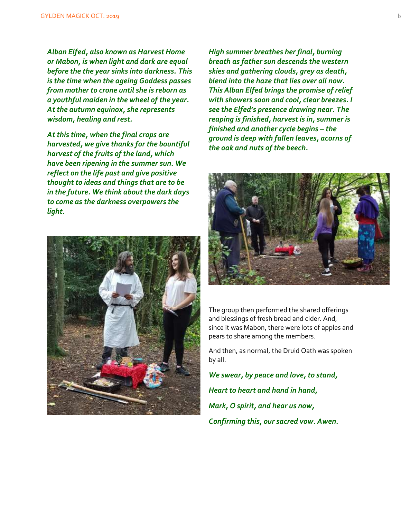*Alban Elfed, also known as Harvest Home or Mabon, is when light and dark are equal before the the year sinks into darkness. This is the time when the ageing Goddess passes from mother to crone until she is reborn as a youthful maiden in the wheel of the year. At the autumn equinox, she represents wisdom, healing and rest.*

*At this time, when the final crops are harvested, we give thanks for the bountiful harvest of the fruits of the land, which have been ripening in the summer sun. We reflect on the life past and give positive thought to ideas and things that are to be in the future. We think about the dark days to come as the darkness overpowers the light.*



*High summer breathes her final, burning breath as father sun descends the western skies and gathering clouds, grey as death, blend into the haze that lies over all now. This Alban Elfed brings the promise of relief with showers soon and cool, clear breezes. I see the Elfed's presence drawing near. The reaping is finished, harvest is in, summer is finished and another cycle begins – the ground is deep with fallen leaves, acorns of the oak and nuts of the beech.*



The group then performed the shared offerings and blessings of fresh bread and cider. And, since it was Mabon, there were lots of apples and pears to share among the members.

And then, as normal, the Druid Oath was spoken by all.

*We swear, by peace and love, to stand, Heart to heart and hand in hand, Mark, O spirit, and hear us now, Confirming this, our sacred vow. Awen.*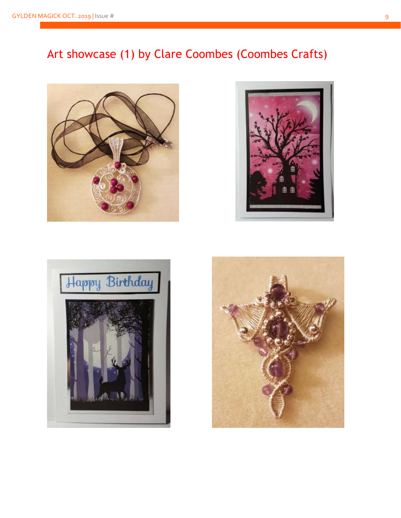## Art showcase (1) by Clare Coombes (Coombes Crafts)







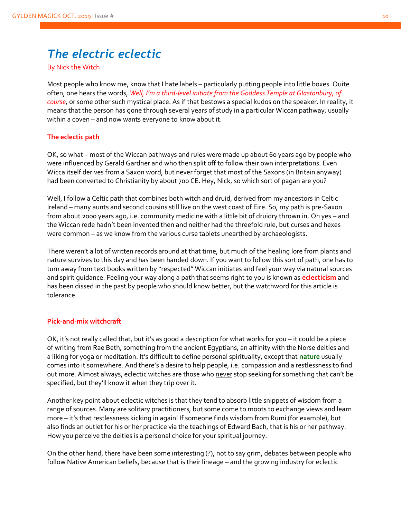## *The electric eclectic*

By Nick the Witch

Most people who know me, know that I hate labels – particularly putting people into little boxes. Quite often, one hears the words, *Well, I'm a third-level initiate from the Goddess Temple at Glastonbury, of course*, or some other such mystical place. As if that bestows a special kudos on the speaker. In reality, it means that the person has gone through several years of study in a particular Wiccan pathway, usually within a coven – and now wants everyone to know about it.

#### **The eclectic path**

OK, so what – most of the Wiccan pathways and rules were made up about 60 years ago by people who were influenced by Gerald Gardner and who then split off to follow their own interpretations. Even Wicca itself derives from a Saxon word, but never forget that most of the Saxons (in Britain anyway) had been converted to Christianity by about 700 CE. Hey, Nick, so which sort of pagan are you?

Well, I follow a Celtic path that combines both witch and druid, derived from my ancestors in Celtic Ireland – many aunts and second cousins still live on the west coast of Eire. So, my path is pre-Saxon from about 2000 years ago, i.e. community medicine with a little bit of druidry thrown in. Oh yes – and the Wiccan rede hadn't been invented then and neither had the threefold rule, but curses and hexes were common – as we know from the various curse tablets unearthed by archaeologists.

There weren't a lot of written records around at that time, but much of the healing lore from plants and nature survives to this day and has been handed down. If you want to follow this sort of path, one has to turn away from text books written by "respected" Wiccan initiates and feel your way via natural sources and spirit guidance. Feeling your way along a path that seems right to you is known as **eclecticism** and has been dissed in the past by people who should know better, but the watchword for this article is tolerance.

#### **Pick-and-mix witchcraft**

OK, it's not really called that, but it's as good a description for what works for you – it could be a piece of writing from Rae Beth, something from the ancient Egyptians, an affinity with the Norse deities and a liking for yoga or meditation. It's difficult to define personal spirituality, except that **nature** usually comes into it somewhere. And there's a desire to help people, i.e. compassion and a restlessness to find out more. Almost always, eclectic witches are those who never stop seeking for something that can't be specified, but they'll know it when they trip over it.

Another key point about eclectic witches is that they tend to absorb little snippets of wisdom from a range of sources. Many are solitary practitioners, but some come to moots to exchange views and learn more – it's that restlessness kicking in again! If someone finds wisdom from Rumi (for example), but also finds an outlet for his or her practice via the teachings of Edward Bach, that is his or her pathway. How you perceive the deities is a personal choice for your spiritual journey.

On the other hand, there have been some interesting (?), not to say grim, debates between people who follow Native American beliefs, because that is their lineage – and the growing industry for eclectic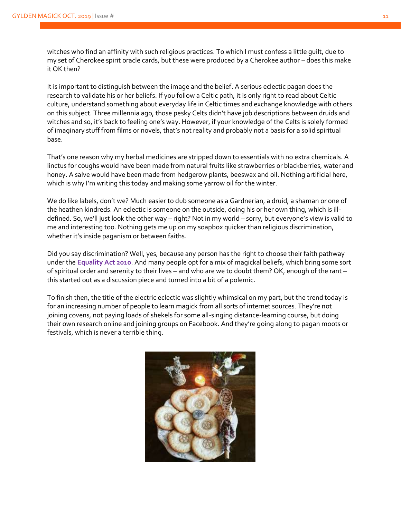witches who find an affinity with such religious practices. To which I must confess a little guilt, due to my set of Cherokee spirit oracle cards, but these were produced by a Cherokee author – does this make it OK then?

It is important to distinguish between the image and the belief. A serious eclectic pagan does the research to validate his or her beliefs. If you follow a Celtic path, it is only right to read about Celtic culture, understand something about everyday life in Celtic times and exchange knowledge with others on this subject. Three millennia ago, those pesky Celts didn't have job descriptions between druids and witches and so, it's back to feeling one's way. However, if your knowledge of the Celts is solely formed of imaginary stuff from films or novels, that's not reality and probably not a basis for a solid spiritual base.

That's one reason why my herbal medicines are stripped down to essentials with no extra chemicals. A linctus for coughs would have been made from natural fruits like strawberries or blackberries, water and honey. A salve would have been made from hedgerow plants, beeswax and oil. Nothing artificial here, which is why I'm writing this today and making some yarrow oil for the winter.

We do like labels, don't we? Much easier to dub someone as a Gardnerian, a druid, a shaman or one of the heathen kindreds. An eclectic is someone on the outside, doing his or her own thing, which is illdefined. So, we'll just look the other way – right? Not in my world – sorry, but everyone's view is valid to me and interesting too. Nothing gets me up on my soapbox quicker than religious discrimination, whether it's inside paganism or between faiths.

Did you say discrimination? Well, yes, because any person has the right to choose their faith pathway under the **Equality Act 2010**. And many people opt for a mix of magickal beliefs, which bring some sort of spiritual order and serenity to their lives – and who are we to doubt them? OK, enough of the rant – this started out as a discussion piece and turned into a bit of a polemic.

To finish then, the title of the electric eclectic was slightly whimsical on my part, but the trend today is for an increasing number of people to learn magick from all sorts of internet sources. They're not joining covens, not paying loads of shekels for some all-singing distance-learning course, but doing their own research online and joining groups on Facebook. And they're going along to pagan moots or festivals, which is never a terrible thing.

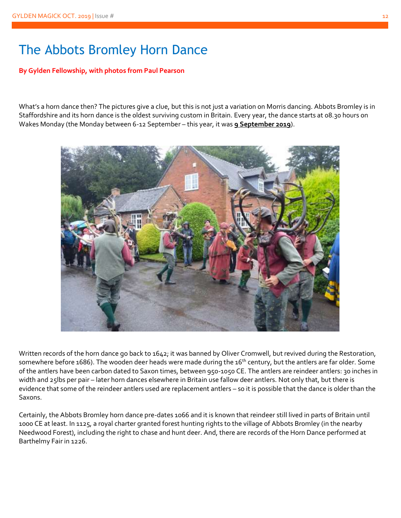## The Abbots Bromley Horn Dance

#### **By Gylden Fellowship, with photos from Paul Pearson**

What's a horn dance then? The pictures give a clue, but this is not just a variation on Morris dancing. Abbots Bromley is in Staffordshire and its horn dance is the oldest surviving custom in Britain. Every year, the dance starts at 08.30 hours on Wakes Monday (the Monday between 6-12 September – this year, it was **9 September 2019**).



Written records of the horn dance go back to 1642; it was banned by Oliver Cromwell, but revived during the Restoration, somewhere before 1686). The wooden deer heads were made during the 16<sup>th</sup> century, but the antlers are far older. Some of the antlers have been carbon dated to Saxon times, between 950-1050 CE. The antlers are reindeer antlers: 30 inches in width and 25lbs per pair – later horn dances elsewhere in Britain use fallow deer antlers. Not only that, but there is evidence that some of the reindeer antlers used are replacement antlers – so it is possible that the dance is older than the Saxons.

Certainly, the Abbots Bromley horn dance pre-dates 1066 and it is known that reindeer still lived in parts of Britain until 1000 CE at least. In 1125, a royal charter granted forest hunting rights to the village of Abbots Bromley (in the nearby Needwood Forest), including the right to chase and hunt deer. And, there are records of the Horn Dance performed at Barthelmy Fair in 1226.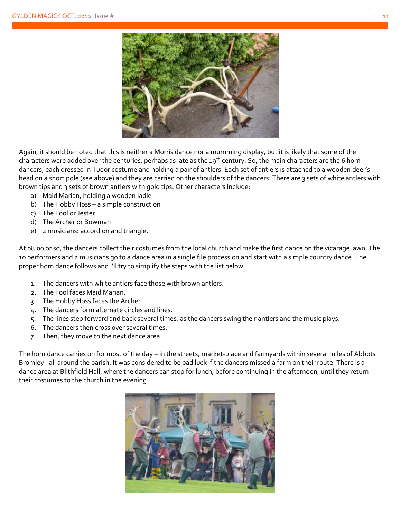

Again, it should be noted that this is neither a Morris dance nor a mumming display, but it is likely that some of the characters were added over the centuries, perhaps as late as the 19<sup>th</sup> century. So, the main characters are the 6 horn dancers, each dressed in Tudor costume and holding a pair of antlers. Each set of antlers is attached to a wooden deer's head on a short pole (see above) and they are carried on the shoulders of the dancers. There are 3 sets of white antlers with brown tips and 3 sets of brown antlers with gold tips. Other characters include:

- a) Maid Marian, holding a wooden ladle
- b) The Hobby Hoss a simple construction
- c) The Fool or Jester
- d) The Archer or Bowman
- e) 2 musicians: accordion and triangle.

At 08.00 or so, the dancers collect their costumes from the local church and make the first dance on the vicarage lawn. The 10 performers and 2 musicians go to a dance area in a single file procession and start with a simple country dance. The proper horn dance follows and I'll try to simplify the steps with the list below.

- 1. The dancers with white antlers face those with brown antlers.
- 2. The Fool faces Maid Marian.
- 3. The Hobby Hoss faces the Archer.
- 4. The dancers form alternate circles and lines.
- 5. The lines step forward and back several times, as the dancers swing their antlers and the music plays.
- 6. The dancers then cross over several times.
- 7. Then, they move to the next dance area.

The horn dance carries on for most of the day – in the streets, market-place and farmyards within several miles of Abbots Bromley –all around the parish. It was considered to be bad luck if the dancers missed a farm on their route. There is a dance area at Blithfield Hall, where the dancers can stop for lunch, before continuing in the afternoon, until they return their costumes to the church in the evening.

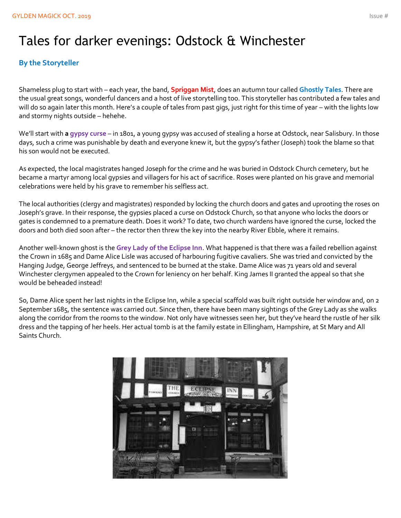## Tales for darker evenings: Odstock & Winchester

#### **By the Storyteller**

Shameless plug to start with – each year, the band, **Spriggan Mist**, does an autumn tour called **Ghostly Tales**. There are the usual great songs, wonderful dancers and a host of live storytelling too. This storyteller has contributed a few tales and will do so again later this month. Here's a couple of tales from past gigs, just right for this time of year – with the lights low and stormy nights outside – hehehe.

We'll start with **a gypsy curse** – in 1801, a young gypsy was accused of stealing a horse at Odstock, near Salisbury. In those days, such a crime was punishable by death and everyone knew it, but the gypsy's father (Joseph) took the blame so that his son would not be executed.

As expected, the local magistrates hanged Joseph for the crime and he was buried in Odstock Church cemetery, but he became a martyr among local gypsies and villagers for his act of sacrifice. Roses were planted on his grave and memorial celebrations were held by his grave to remember his selfless act.

The local authorities (clergy and magistrates) responded by locking the church doors and gates and uprooting the roses on Joseph's grave. In their response, the gypsies placed a curse on Odstock Church, so that anyone who locks the doors or gates is condemned to a premature death. Does it work? To date, two church wardens have ignored the curse, locked the doors and both died soon after – the rector then threw the key into the nearby River Ebble, where it remains.

Another well-known ghost is the **Grey Lady of the Eclipse Inn**. What happened is that there was a failed rebellion against the Crown in 1685 and Dame Alice Lisle was accused of harbouring fugitive cavaliers. She was tried and convicted by the Hanging Judge, George Jeffreys, and sentenced to be burned at the stake. Dame Alice was 71 years old and several Winchester clergymen appealed to the Crown for leniency on her behalf. King James II granted the appeal so that she would be beheaded instead!

So, Dame Alice spent her last nights in the Eclipse Inn, while a special scaffold was built right outside her window and, on 2 September 1685, the sentence was carried out. Since then, there have been many sightings of the Grey Lady as she walks along the corridor from the rooms to the window. Not only have witnesses seen her, but they've heard the rustle of her silk dress and the tapping of her heels. Her actual tomb is at the family estate in Ellingham, Hampshire, at St Mary and All Saints Church.

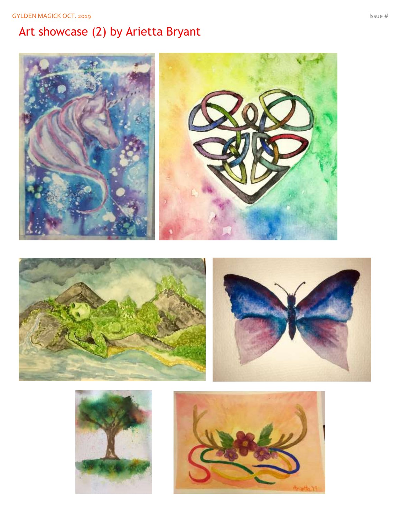## Art showcase ( 2) by Arietta Bryant





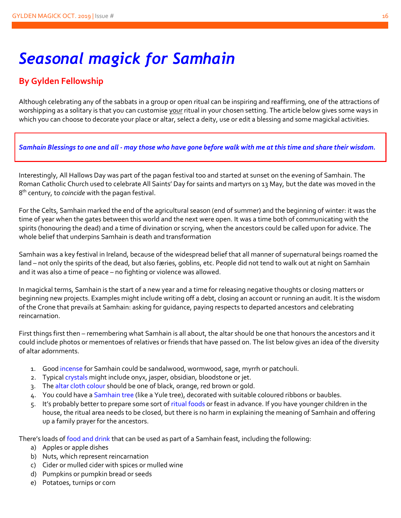## *Seasonal magick for Samhain*

### **By Gylden Fellowship**

Although celebrating any of the sabbats in a group or open ritual can be inspiring and reaffirming, one of the attractions of worshipping as a solitary is that you can customise your ritual in your chosen setting. The article below gives some ways in which you can choose to decorate your place or altar, select a deity, use or edit a blessing and some magickal activities.

#### *Samhain Blessings to one and all - may those who have gone before walk with me at this time and share their wisdom.*

Interestingly, All Hallows Day was part of the pagan festival too and started at sunset on the evening of Samhain. The Roman Catholic Church used to celebrate All Saints' Day for saints and martyrs on 13 May, but the date was moved in the 8 th century, to *coincide* with the pagan festival.

For the Celts, Samhain marked the end of the agricultural season (end of summer) and the beginning of winter: it was the time of year when the gates between this world and the next were open. It was a time both of communicating with the spirits (honouring the dead) and a time of divination or scrying, when the ancestors could be called upon for advice. The whole belief that underpins Samhain is death and transformation

Samhain was a key festival in Ireland, because of the widespread belief that all manner of supernatural beings roamed the land – not only the spirits of the dead, but also færies, goblins, etc. People did not tend to walk out at night on Samhain and it was also a time of peace – no fighting or violence was allowed.

In magickal terms, Samhain is the start of a new year and a time for releasing negative thoughts or closing matters or beginning new projects. Examples might include writing off a debt, closing an account or running an audit. It is the wisdom of the Crone that prevails at Samhain: asking for guidance, paying respects to departed ancestors and celebrating reincarnation.

First things first then – remembering what Samhain is all about, the altar should be one that honours the ancestors and it could include photos or mementoes of relatives or friends that have passed on. The list below gives an idea of the diversity of altar adornments.

- 1. Good incense for Samhain could be sandalwood, wormwood, sage, myrrh or patchouli.
- 2. Typical crystals might include onyx, jasper, obsidian, bloodstone or jet.
- 3. The altar cloth colour should be one of black, orange, red brown or gold.
- 4. You could have a Samhain tree (like a Yule tree), decorated with suitable coloured ribbons or baubles.
- 5. It's probably better to prepare some sort of ritual foods or feast in advance. If you have younger children in the house, the ritual area needs to be closed, but there is no harm in explaining the meaning of Samhain and offering up a family prayer for the ancestors.

There's loads of food and drink that can be used as part of a Samhain feast, including the following:

- a) Apples or apple dishes
- b) Nuts, which represent reincarnation
- c) Cider or mulled cider with spices or mulled wine
- d) Pumpkins or pumpkin bread or seeds
- e) Potatoes, turnips or corn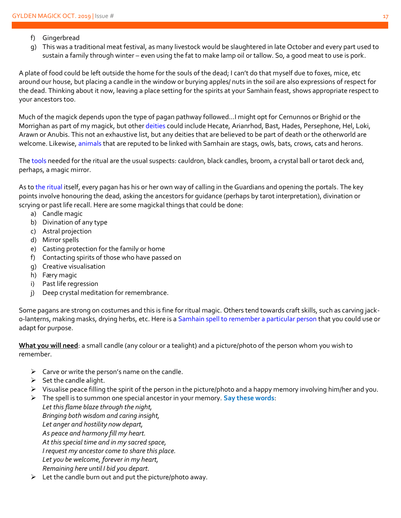- f) Gingerbread
- g) This was a traditional meat festival, as many livestock would be slaughtered in late October and every part used to sustain a family through winter – even using the fat to make lamp oil or tallow. So, a good meat to use is pork.

A plate of food could be left outside the home for the souls of the dead; I can't do that myself due to foxes, mice, etc around our house, but placing a candle in the window or burying apples/ nuts in the soil are also expressions of respect for the dead. Thinking about it now, leaving a place setting for the spirits at your Samhain feast, shows appropriate respect to your ancestors too.

Much of the magick depends upon the type of pagan pathway followed…I might opt for Cernunnos or Brighid or the Morrighan as part of my magick, but other deities could include Hecate, Arianrhod, Bast, Hades, Persephone, Hel, Loki, Arawn or Anubis. This not an exhaustive list, but any deities that are believed to be part of death or the otherworld are welcome. Likewise, animals that are reputed to be linked with Samhain are stags, owls, bats, crows, cats and herons.

The tools needed for the ritual are the usual suspects: cauldron, black candles, broom, a crystal ball or tarot deck and, perhaps, a magic mirror.

As to the ritual itself, every pagan has his or her own way of calling in the Guardians and opening the portals. The key points involve honouring the dead, asking the ancestors for guidance (perhaps by tarot interpretation), divination or scrying or past life recall. Here are some magickal things that could be done:

- a) Candle magic
- b) Divination of any type
- c) Astral projection
- d) Mirror spells
- e) Casting protection for the family or home
- f) Contacting spirits of those who have passed on
- g) Creative visualisation
- h) Færy magic
- i) Past life regression
- j) Deep crystal meditation for remembrance.

Some pagans are strong on costumes and this is fine for ritual magic. Others tend towards craft skills, such as carving jacko-lanterns, making masks, drying herbs, etc. Here is a Samhain spell to remember a particular person that you could use or adapt for purpose.

**What you will need**: a small candle (any colour or a tealight) and a picture/photo of the person whom you wish to remember.

- $\triangleright$  Carve or write the person's name on the candle.
- $\triangleright$  Set the candle alight.
- ➢ Visualise peace filling the spirit of the person in the picture/photo and a happy memory involving him/her and you.
- ➢ The spell is to summon one special ancestor in your memory. **Say these words**:

*Let this flame blaze through the night, Bringing both wisdom and caring insight, Let anger and hostility now depart, As peace and harmony fill my heart. At this special time and in my sacred space, I request my ancestor come to share this place. Let you be welcome, forever in my heart, Remaining here until I bid you depart.*

 $\triangleright$  Let the candle burn out and put the picture/photo away.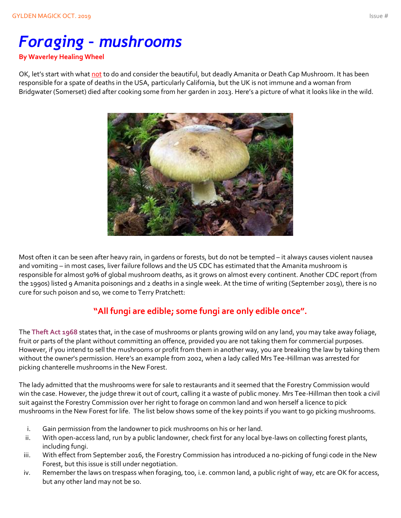# *Foraging – mushrooms*

#### **By Waverley Healing Wheel**

OK, let's start with what not to do and consider the beautiful, but deadly Amanita or Death Cap Mushroom. It has been responsible for a spate of deaths in the USA, particularly California, but the UK is not immune and a woman from Bridgwater (Somerset) died after cooking some from her garden in 2013. Here's a picture of what it looks like in the wild.



Most often it can be seen after heavy rain, in gardens or forests, but do not be tempted – it always causes violent nausea and vomiting – in most cases, liver failure follows and the US CDC has estimated that the Amanita mushroom is responsible for almost 90% of global mushroom deaths, as it grows on almost every continent. Another CDC report (from the 1990s) listed 9 Amanita poisonings and 2 deaths in a single week. At the time of writing (September 2019), there is no cure for such poison and so, we come to Terry Pratchett:

### **"All fungi are edible; some fungi are only edible once".**

The **Theft Act 1968** states that, in the case of mushrooms or plants growing wild on any land, you may take away foliage, fruit or parts of the plant without committing an offence, provided you are not taking them for commercial purposes. However, if you intend to sell the mushrooms or profit from them in another way, you are breaking the law by taking them without the owner's permission. Here's an example from 2002, when a lady called Mrs Tee-Hillman was arrested for picking chanterelle mushrooms in the New Forest.

The lady admitted that the mushrooms were for sale to restaurants and it seemed that the Forestry Commission would win the case. However, the judge threw it out of court, calling it a waste of public money. Mrs Tee-Hillman then took a civil suit against the Forestry Commission over her right to forage on common land and won herself a licence to pick mushrooms in the New Forest for life. The list below shows some of the key points if you want to go picking mushrooms.

- i. Gain permission from the landowner to pick mushrooms on his or her land.
- ii. With open-access land, run by a public landowner, check first for any local bye-laws on collecting forest plants, including fungi.
- iii. With effect from September 2016, the Forestry Commission has introduced a no-picking of fungi code in the New Forest, but this issue is still under negotiation.
- iv. Remember the laws on trespass when foraging, too, i.e. common land, a public right of way, etc are OK for access, but any other land may not be so.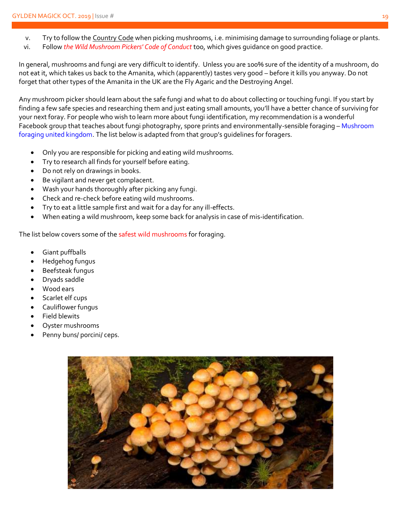- v. Try to follow the Country Code when picking mushrooms, i.e. minimising damage to surrounding foliage or plants.
- vi. Follow *the Wild Mushroom Pickers' Code of Conduct* too, which gives guidance on good practice.

In general, mushrooms and fungi are very difficult to identify. Unless you are 100% sure of the identity of a mushroom, do not eat it, which takes us back to the Amanita, which (apparently) tastes very good – before it kills you anyway. Do not forget that other types of the Amanita in the UK are the Fly Agaric and the Destroying Angel.

Any mushroom picker should learn about the safe fungi and what to do about collecting or touching fungi. If you start by finding a few safe species and researching them and just eating small amounts, you'll have a better chance of surviving for your next foray. For people who wish to learn more about fungi identification, my recommendation is a wonderful Facebook group that teaches about fungi photography, spore prints and environmentally-sensible foraging - Mushroom foraging united kingdom. The list below is adapted from that group's guidelines for foragers.

- Only you are responsible for picking and eating wild mushrooms.
- Try to research all finds for yourself before eating.
- Do not rely on drawings in books.
- Be vigilant and never get complacent.
- Wash your hands thoroughly after picking any fungi.
- Check and re-check before eating wild mushrooms.
- Try to eat a little sample first and wait for a day for any ill-effects.
- When eating a wild mushroom, keep some back for analysis in case of mis-identification.

The list below covers some of the safest wild mushrooms for foraging.

- Giant puffballs
- Hedgehog fungus
- Beefsteak fungus
- Dryads saddle
- Wood ears
- Scarlet elf cups
- Cauliflower fungus
- Field blewits
- Oyster mushrooms
- Penny buns/ porcini/ ceps.